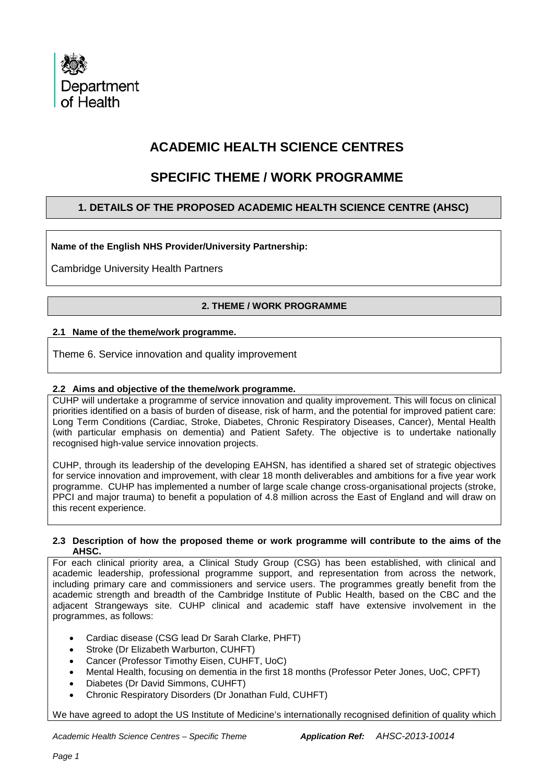

# **ACADEMIC HEALTH SCIENCE CENTRES**

# **SPECIFIC THEME / WORK PROGRAMME**

# **1. DETAILS OF THE PROPOSED ACADEMIC HEALTH SCIENCE CENTRE (AHSC)**

# **Name of the English NHS Provider/University Partnership:**

Cambridge University Health Partners

# **2. THEME / WORK PROGRAMME**

## **2.1 Name of the theme/work programme.**

Theme 6. Service innovation and quality improvement

## **2.2 Aims and objective of the theme/work programme.**

CUHP will undertake a programme of service innovation and quality improvement. This will focus on clinical priorities identified on a basis of burden of disease, risk of harm, and the potential for improved patient care: Long Term Conditions (Cardiac, Stroke, Diabetes, Chronic Respiratory Diseases, Cancer), Mental Health (with particular emphasis on dementia) and Patient Safety. The objective is to undertake nationally recognised high-value service innovation projects.

CUHP, through its leadership of the developing EAHSN, has identified a shared set of strategic objectives for service innovation and improvement, with clear 18 month deliverables and ambitions for a five year work programme. CUHP has implemented a number of large scale change cross-organisational projects (stroke, PPCI and major trauma) to benefit a population of 4.8 million across the East of England and will draw on this recent experience.

#### **2.3 Description of how the proposed theme or work programme will contribute to the aims of the AHSC.**

For each clinical priority area, a Clinical Study Group (CSG) has been established, with clinical and academic leadership, professional programme support, and representation from across the network, including primary care and commissioners and service users. The programmes greatly benefit from the academic strength and breadth of the Cambridge Institute of Public Health, based on the CBC and the adjacent Strangeways site. CUHP clinical and academic staff have extensive involvement in the programmes, as follows:

- Cardiac disease (CSG lead Dr Sarah Clarke, PHFT)
- Stroke (Dr Elizabeth Warburton, CUHFT)
- Cancer (Professor Timothy Eisen, CUHFT, UoC)
- Mental Health, focusing on dementia in the first 18 months (Professor Peter Jones, UoC, CPFT)
- Diabetes (Dr David Simmons, CUHFT)
- Chronic Respiratory Disorders (Dr Jonathan Fuld, CUHFT)

We have agreed to adopt the US Institute of Medicine's internationally recognised definition of quality which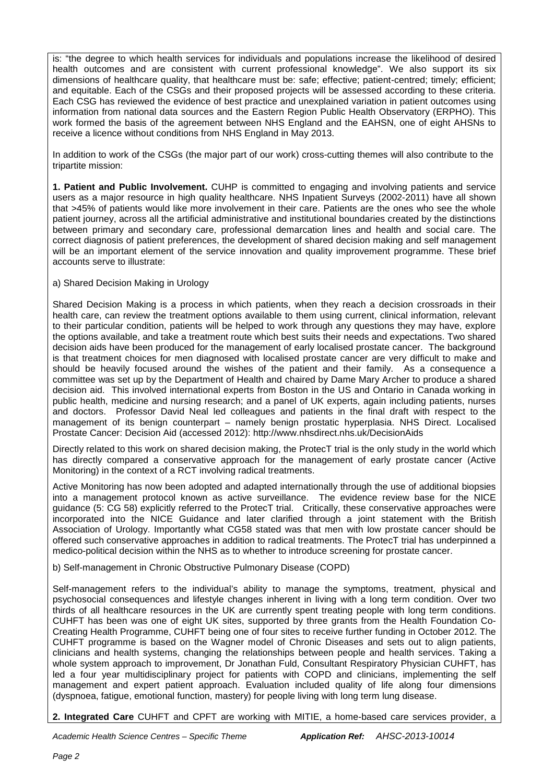is: "the degree to which health services for individuals and populations increase the likelihood of desired health outcomes and are consistent with current professional knowledge". We also support its six dimensions of healthcare quality, that healthcare must be: safe; effective; patient-centred; timely; efficient; and equitable. Each of the CSGs and their proposed projects will be assessed according to these criteria. Each CSG has reviewed the evidence of best practice and unexplained variation in patient outcomes using information from national data sources and the Eastern Region Public Health Observatory (ERPHO). This work formed the basis of the agreement between NHS England and the EAHSN, one of eight AHSNs to receive a licence without conditions from NHS England in May 2013.

In addition to work of the CSGs (the major part of our work) cross-cutting themes will also contribute to the tripartite mission:

**1. Patient and Public Involvement.** CUHP is committed to engaging and involving patients and service users as a major resource in high quality healthcare. NHS Inpatient Surveys (2002-2011) have all shown that >45% of patients would like more involvement in their care. Patients are the ones who see the whole patient journey, across all the artificial administrative and institutional boundaries created by the distinctions between primary and secondary care, professional demarcation lines and health and social care. The correct diagnosis of patient preferences, the development of shared decision making and self management will be an important element of the service innovation and quality improvement programme. These brief accounts serve to illustrate:

### a) Shared Decision Making in Urology

Shared Decision Making is a process in which patients, when they reach a decision crossroads in their health care, can review the treatment options available to them using current, clinical information, relevant to their particular condition, patients will be helped to work through any questions they may have, explore the options available, and take a treatment route which best suits their needs and expectations. Two shared decision aids have been produced for the management of early localised prostate cancer. The background is that treatment choices for men diagnosed with localised prostate cancer are very difficult to make and should be heavily focused around the wishes of the patient and their family. As a consequence a committee was set up by the Department of Health and chaired by Dame Mary Archer to produce a shared decision aid. This involved international experts from Boston in the US and Ontario in Canada working in public health, medicine and nursing research; and a panel of UK experts, again including patients, nurses and doctors. Professor David Neal led colleagues and patients in the final draft with respect to the management of its benign counterpart – namely benign prostatic hyperplasia. NHS Direct. Localised Prostate Cancer: Decision Aid (accessed 2012): http://www.nhsdirect.nhs.uk/DecisionAids

Directly related to this work on shared decision making, the ProtecT trial is the only study in the world which has directly compared a conservative approach for the management of early prostate cancer (Active Monitoring) in the context of a RCT involving radical treatments.

Active Monitoring has now been adopted and adapted internationally through the use of additional biopsies into a management protocol known as active surveillance. The evidence review base for the NICE guidance (5: CG 58) explicitly referred to the ProtecT trial. Critically, these conservative approaches were incorporated into the NICE Guidance and later clarified through a joint statement with the British Association of Urology. Importantly what CG58 stated was that men with low prostate cancer should be offered such conservative approaches in addition to radical treatments. The ProtecT trial has underpinned a medico-political decision within the NHS as to whether to introduce screening for prostate cancer.

b) Self-management in Chronic Obstructive Pulmonary Disease (COPD)

Self-management refers to the individual's ability to manage the symptoms, treatment, physical and psychosocial consequences and lifestyle changes inherent in living with a long term condition. Over two thirds of all healthcare resources in the UK are currently spent treating people with long term conditions. CUHFT has been was one of eight UK sites, supported by three grants from the Health Foundation Co-Creating Health Programme, CUHFT being one of four sites to receive further funding in October 2012. The CUHFT programme is based on the Wagner model of Chronic Diseases and sets out to align patients, clinicians and health systems, changing the relationships between people and health services. Taking a whole system approach to improvement, Dr Jonathan Fuld, Consultant Respiratory Physician CUHFT, has led a four year multidisciplinary project for patients with COPD and clinicians, implementing the self management and expert patient approach. Evaluation included quality of life along four dimensions (dyspnoea, fatigue, emotional function, mastery) for people living with long term lung disease.

**2. Integrated Care** CUHFT and CPFT are working with MITIE, a home-based care services provider, a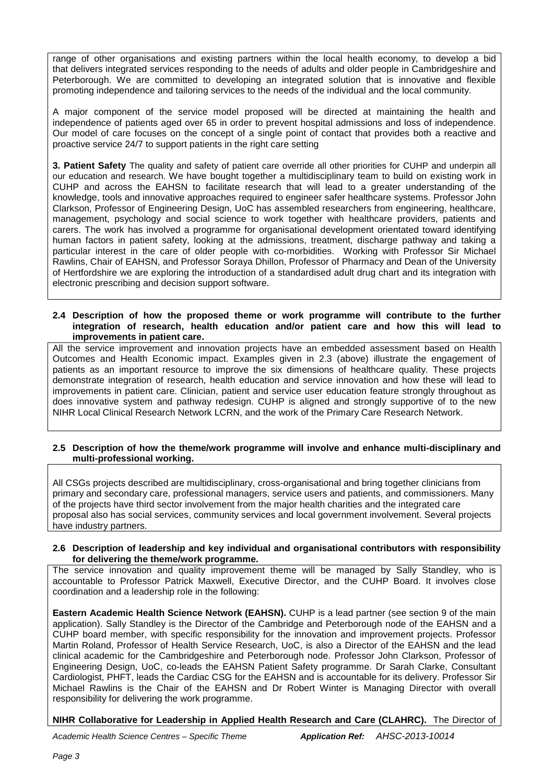range of other organisations and existing partners within the local health economy, to develop a bid that delivers integrated services responding to the needs of adults and older people in Cambridgeshire and Peterborough. We are committed to developing an integrated solution that is innovative and flexible promoting independence and tailoring services to the needs of the individual and the local community.

A major component of the service model proposed will be directed at maintaining the health and independence of patients aged over 65 in order to prevent hospital admissions and loss of independence. Our model of care focuses on the concept of a single point of contact that provides both a reactive and proactive service 24/7 to support patients in the right care setting

**3. Patient Safety** The quality and safety of patient care override all other priorities for CUHP and underpin all our education and research. We have bought together a multidisciplinary team to build on existing work in CUHP and across the EAHSN to facilitate research that will lead to a greater understanding of the knowledge, tools and innovative approaches required to engineer safer healthcare systems. Professor John Clarkson, Professor of Engineering Design, UoC has assembled researchers from engineering, healthcare, management, psychology and social science to work together with healthcare providers, patients and carers. The work has involved a programme for organisational development orientated toward identifying human factors in patient safety, looking at the admissions, treatment, discharge pathway and taking a particular interest in the care of older people with co-morbidities. Working with Professor Sir Michael Rawlins, Chair of EAHSN, and Professor Soraya Dhillon, Professor of Pharmacy and Dean of the University of Hertfordshire we are exploring the introduction of a standardised adult drug chart and its integration with electronic prescribing and decision support software.

#### **2.4 Description of how the proposed theme or work programme will contribute to the further integration of research, health education and/or patient care and how this will lead to improvements in patient care.**

All the service improvement and innovation projects have an embedded assessment based on Health Outcomes and Health Economic impact. Examples given in 2.3 (above) illustrate the engagement of patients as an important resource to improve the six dimensions of healthcare quality. These projects demonstrate integration of research, health education and service innovation and how these will lead to improvements in patient care. Clinician, patient and service user education feature strongly throughout as does innovative system and pathway redesign. CUHP is aligned and strongly supportive of to the new NIHR Local Clinical Research Network LCRN, and the work of the Primary Care Research Network.

### **2.5 Description of how the theme/work programme will involve and enhance multi-disciplinary and multi-professional working.**

All CSGs projects described are multidisciplinary, cross-organisational and bring together clinicians from primary and secondary care, professional managers, service users and patients, and commissioners. Many of the projects have third sector involvement from the major health charities and the integrated care proposal also has social services, community services and local government involvement. Several projects have industry partners.

### **2.6 Description of leadership and key individual and organisational contributors with responsibility for delivering the theme/work programme.**

The service innovation and quality improvement theme will be managed by Sally Standley, who is accountable to Professor Patrick Maxwell, Executive Director, and the CUHP Board. It involves close coordination and a leadership role in the following:

**Eastern Academic Health Science Network (EAHSN).** CUHP is a lead partner (see section 9 of the main application). Sally Standley is the Director of the Cambridge and Peterborough node of the EAHSN and a CUHP board member, with specific responsibility for the innovation and improvement projects. Professor Martin Roland, Professor of Health Service Research, UoC, is also a Director of the EAHSN and the lead clinical academic for the Cambridgeshire and Peterborough node. Professor John Clarkson, Professor of Engineering Design, UoC, co-leads the EAHSN Patient Safety programme. Dr Sarah Clarke, Consultant Cardiologist, PHFT, leads the Cardiac CSG for the EAHSN and is accountable for its delivery. Professor Sir Michael Rawlins is the Chair of the EAHSN and Dr Robert Winter is Managing Director with overall responsibility for delivering the work programme.

**NIHR Collaborative for Leadership in Applied Health Research and Care (CLAHRC).** The Director of